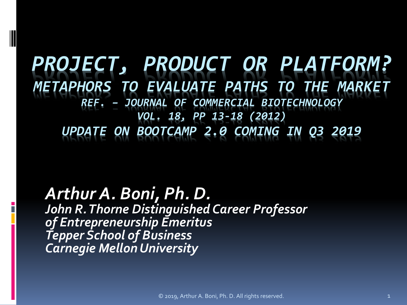*PROJECT, PRODUCT OR PLATFORM? METAPHORS TO EVALUATE PATHS TO THE MARKET REF. – JOURNAL OF COMMERCIAL BIOTECHNOLOGY VOL. 18, PP 13-18 (2012) UPDATE ON BOOTCAMP 2.0 COMING IN Q3 2019*

*Arthur A. Boni, Ph. D. John R. Thorne Distinguished Career Professor of Entrepreneurship Emeritus Tepper School of Business Carnegie Mellon University*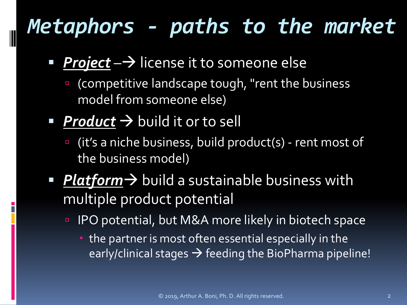# *Metaphors - paths to the market*

- **Project**  $\rightarrow$  license it to someone else
	- **E** (competitive landscape tough, "rent the business model from someone else)
- **Product**  $\rightarrow$  build it or to sell
	- (it's a niche business, build product(s) rent most of the business model)
- *Platform*  $\rightarrow$  build a sustainable business with multiple product potential
	- IPO potential, but M&A more likely in biotech space
		- the partner is most often essential especially in the early/clinical stages  $\rightarrow$  feeding the BioPharma pipeline!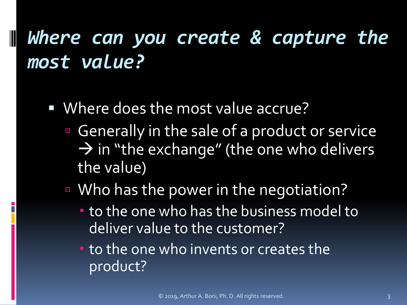# *Where can you create & capture the most value?*

Where does the most value accrue?

- Generally in the sale of a product or service  $\rightarrow$  in "the exchange" (the one who delivers the value)
- Who has the power in the negotiation?
	- to the one who has the business model to deliver value to the customer?
	- **to the one who invents or creates the** product?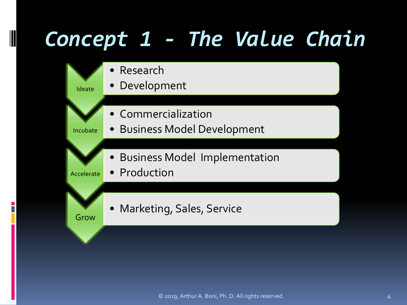# *Concept 1 - The Value Chain*

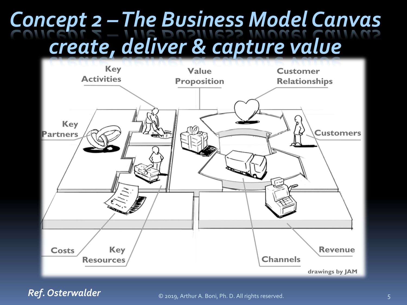# *Concept 2 –The Business Model Canvas create, deliver & capture value*



*Ref. Osterwalder*

© 2019, Arthur A. Boni, Ph. D. All rights reserved. 5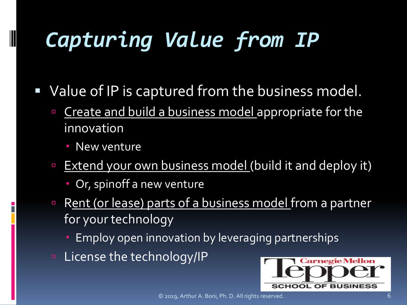# *Capturing Value from IP*

- Value of IP is captured from the business model.
	- **Exercise 2 Create and build a business model appropriate for the** innovation
		- **New venture**

- **Extend your own business model (build it and deploy it)** 
	- Or, spinoff a new venture
- Rent (or lease) parts of a business model from a partner for your technology
	- Employ open innovation by leveraging partnerships
- **E** License the technology/IP

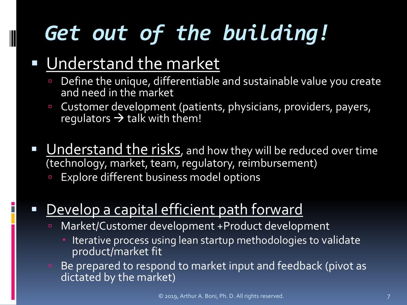# *Get out of the building!*

#### Understand the market

- Define the unique, differentiable and sustainable value you create and need in the market
- **Customer development (patients, physicians, providers, payers,** regulators  $\rightarrow$  talk with them!
- Understand the risks, and how they will be reduced over time (technology, market, team, regulatory, reimbursement)
	- Explore different business model options

#### Develop a capital efficient path forward

- Market/Customer development +Product development
	- Iterative process using lean startup methodologies to validate product/market fit
- Be prepared to respond to market input and feedback (pivot as dictated by the market)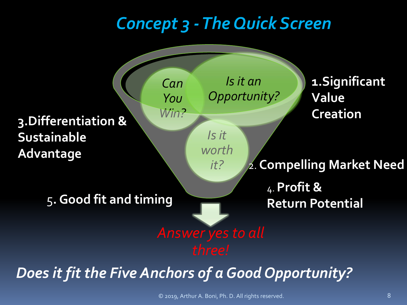#### *Concept 3 -The Quick Screen*



© 2019, Arthur A. Boni, Ph. D. All rights reserved. 8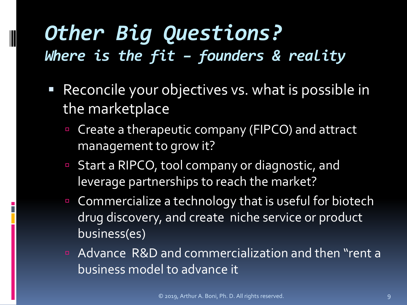## *Other Big Questions? Where is the fit – founders & reality*

- Reconcile your objectives vs. what is possible in the marketplace
	- Create a therapeutic company (FIPCO) and attract management to grow it?
	- Start a RIPCO, tool company or diagnostic, and leverage partnerships to reach the market?
	- Commercialize a technology that is useful for biotech drug discovery, and create niche service or product business(es)
	- Advance R&D and commercialization and then "rent a business model to advance it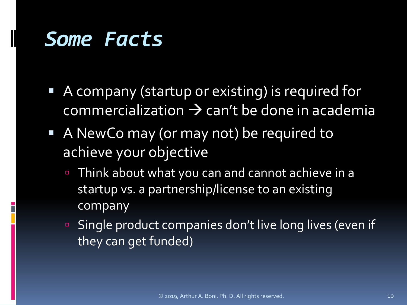## *Some Facts*

- A company (startup or existing) is required for  $commercialization \rightarrow can't be done in academic$
- A NewCo may (or may not) be required to achieve your objective
	- Think about what you can and cannot achieve in a startup vs. a partnership/license to an existing company
	- Single product companies don't live long lives (even if they can get funded)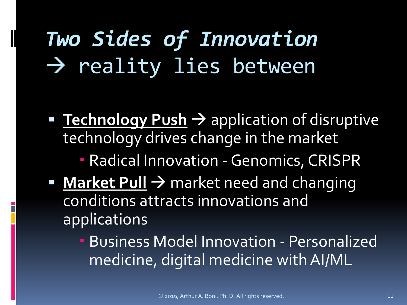# *Two Sides of Innovation*  $\rightarrow$  reality lies between

- **Technology Push > application of disruptive** technology drives change in the market
	- Radical Innovation -Genomics, CRISPR
- **Market Pull > market need and changing** conditions attracts innovations and applications
	- Business Model Innovation Personalized medicine, digital medicine with AI/ML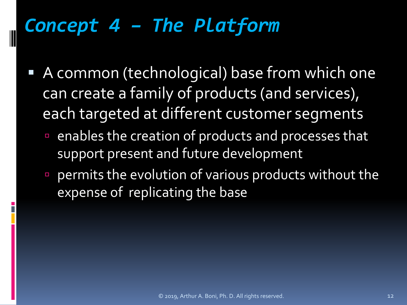## *Concept 4 – The Platform*

- A common (technological) base from which one can create a family of products (and services), each targeted at different customer segments
	- enables the creation of products and processes that support present and future development
	- permits the evolution of various products without the expense of replicating the base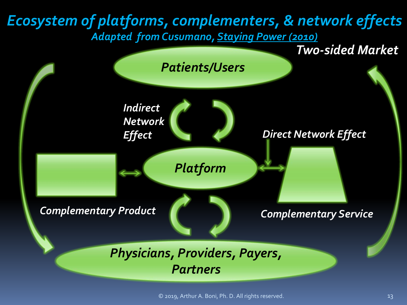#### *Ecosystem of platforms, complementers, & network effects Adapted from Cusumano, Staying Power (2010)*



© 2019, Arthur A. Boni, Ph. D. All rights reserved. 13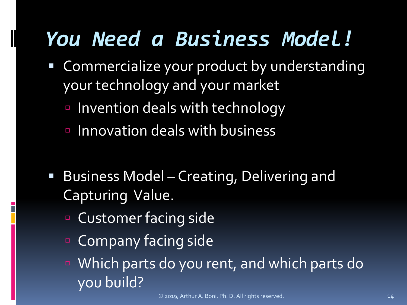# *You Need a Business Model!*

- Commercialize your product by understanding your technology and your market
	- **Invention deals with technology**
	- Innovation deals with business
- Business Model Creating, Delivering and Capturing Value.
	- Customer facing side

- **Company facing side**
- Which parts do you rent, and which parts do you build?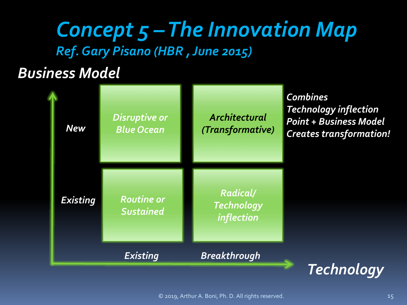#### *Concept 5 –The Innovation Map Ref. Gary Pisano (HBR , June 2015)*

#### *Business Model*

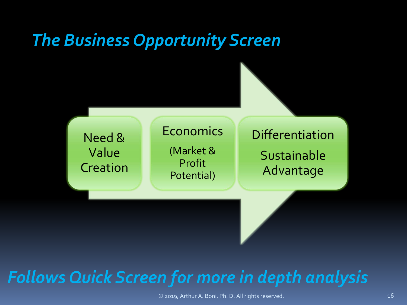#### *The Business Opportunity Screen*



#### *Follows Quick Screen for more in depth analysis*

© 2019, Arthur A. Boni, Ph. D. All rights reserved. 16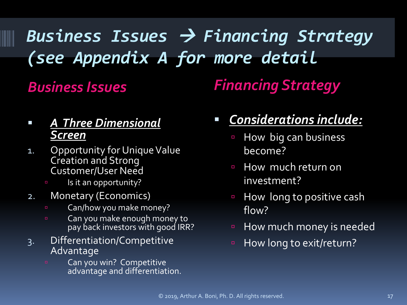# *Business Issues Financing Strategy (see Appendix A for more detail*

#### *Business Issues Financing Strategy*

#### *A Three Dimensional Screen*

- 1. Opportunity for Unique Value Creation and Strong Customer/User Need
	- **Is it an opportunity?**
- 2. Monetary (Economics)
	- **EXEC** Can/how you make money?
	- **Can you make enough money to** pay back investors with good IRR?
- 3. Differentiation/Competitive Advantage
	- Can you win? Competitive advantage and differentiation.

#### *Considerations include:*

- **How big can business** become?
- **How much return on** investment?
- **E** How long to positive cash flow?
- **Example 2 How much money is needed**
- **E** How long to exit/return?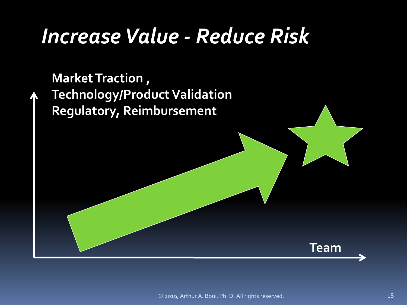# *Increase Value - Reduce Risk*

**Market Traction , Technology/Product Validation Regulatory, Reimbursement**



© 2019, Arthur A. Boni, Ph. D. All rights reserved. 18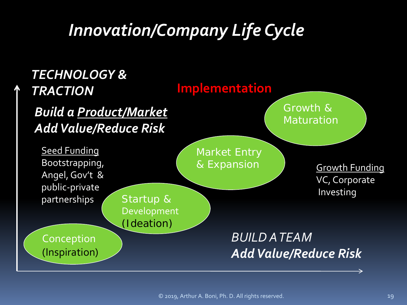## *Innovation/Company Life Cycle*

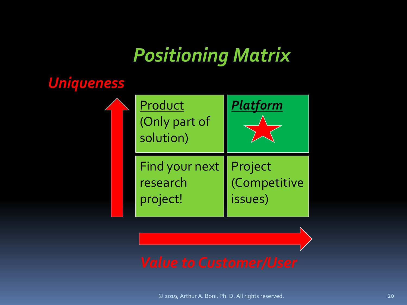## *Positioning Matrix*

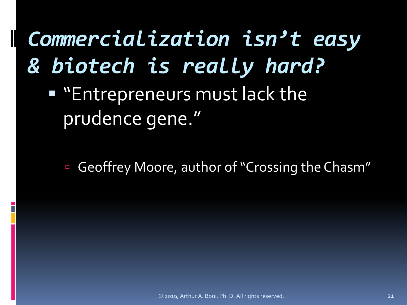*Commercialization isn't easy & biotech is really hard?* 

**Eart Entrepreneurs must lack the** prudence gene."

Geoffrey Moore, author of "Crossing the Chasm"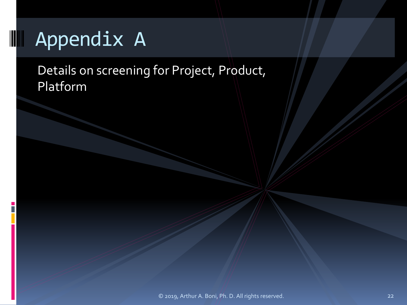## Appendix A

Details on screening for Project, Product, Platform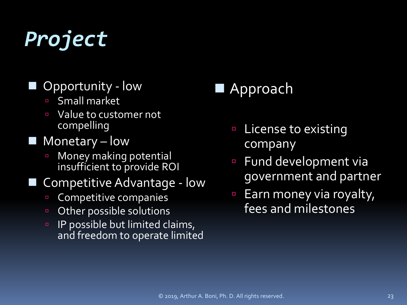# *Project*

#### Opportunity - low

- Small market
- Value to customer not compelling
- $\blacksquare$  Monetary low
	- **E** Money making potential insufficient to provide ROI

#### Competitive Advantage - low

- **Competitive companies**
- **D** Other possible solutions
- **IP possible but limited claims,** and freedom to operate limited

#### Approach

- License to existing company
- Fund development via government and partner
- Earn money via royalty, fees and milestones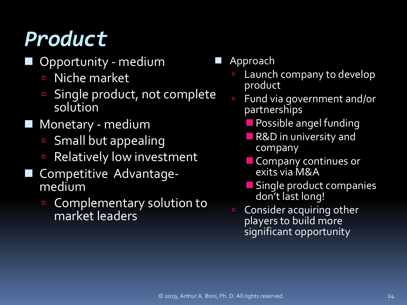# *Product*

- Opportunity medium
	- D Niche market
	- Single product, not complete solution
- Monetary medium
	- **Small but appealing**
	- **Relatively low investment**
- Competitive Advantage- medium
	- **Complementary solution to** market leaders
- Approach
	- **Launch company to develop** product
	- Fund via government and/or partnerships
		- **Possible angel funding**
		- **R&D** in university and company
		- **Company continues or** exits via M&A
		- **Single product companies** don't last long!
	- **Consider acquiring other** players to build more significant opportunity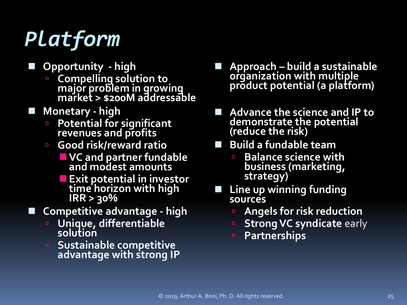# *Platform*

- **Opportunity - high**
	- **Compelling solution to major problem in growing market > \$200M addressable**
- **Monetary - high**
	- **Potential for significant revenues and profits**
	- **Good risk/reward ratio**
		- **VC and partner fundable and modest amounts**
		- **Exit potential in investor time horizon with high IRR > 30%**
- **Competitive advantage - high**
	- **Unique, differentiable solution**
	- **<u><b>E** Sustainable competitive</u> **advantage with strong IP**
- **Approach – build a sustainable organization with multiple product potential (a platform)**
- Advance the science and IP to **demonstrate the potential (reduce the risk)**
- **Build a fundable team**
	- **Balance science with business (marketing, strategy)**
- **Line up winning funding sources**
	- **Angels for risk reduction**
	- **B** Strong VC syndicate early
	- **Partnerships**